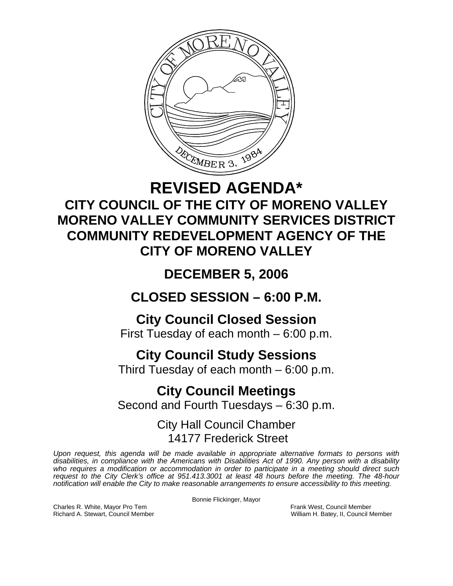

## **REVISED AGENDA\* CITY COUNCIL OF THE CITY OF MORENO VALLEY MORENO VALLEY COMMUNITY SERVICES DISTRICT COMMUNITY REDEVELOPMENT AGENCY OF THE CITY OF MORENO VALLEY**

## **DECEMBER 5, 2006**

## **CLOSED SESSION – 6:00 P.M.**

## **City Council Closed Session**

First Tuesday of each month – 6:00 p.m.

## **City Council Study Sessions**

Third Tuesday of each month – 6:00 p.m.

# **City Council Meetings**

Second and Fourth Tuesdays – 6:30 p.m.

### City Hall Council Chamber 14177 Frederick Street

*Upon request, this agenda will be made available in appropriate alternative formats to persons with disabilities, in compliance with the Americans with Disabilities Act of 1990. Any person with a disability*  who requires a modification or accommodation in order to participate in a meeting should direct such *request to the City Clerk's office at 951.413.3001 at least 48 hours before the meeting. The 48-hour notification will enable the City to make reasonable arrangements to ensure accessibility to this meeting.* 

Bonnie Flickinger, Mayor

Charles R. White, Mayor Pro Tem Frank West, Council Member Richard A. Stewart, Council Member Richard A. Stewart, Council Member Richard A. Stewart, Council Member

William H. Batey, II, Council Member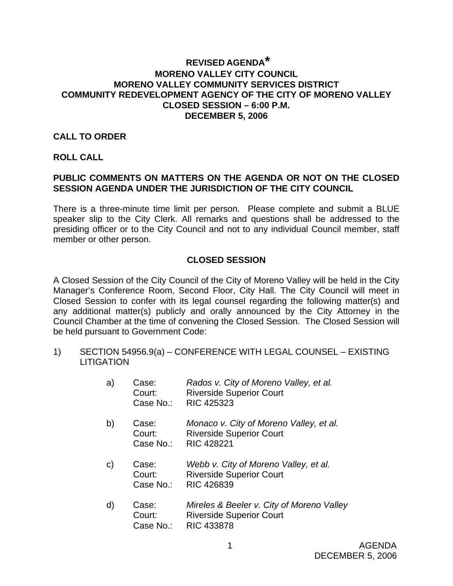#### **REVISED AGENDA\* MORENO VALLEY CITY COUNCIL MORENO VALLEY COMMUNITY SERVICES DISTRICT COMMUNITY REDEVELOPMENT AGENCY OF THE CITY OF MORENO VALLEY CLOSED SESSION – 6:00 P.M. DECEMBER 5, 2006**

#### **CALL TO ORDER**

#### **ROLL CALL**

#### **PUBLIC COMMENTS ON MATTERS ON THE AGENDA OR NOT ON THE CLOSED SESSION AGENDA UNDER THE JURISDICTION OF THE CITY COUNCIL**

There is a three-minute time limit per person. Please complete and submit a BLUE speaker slip to the City Clerk. All remarks and questions shall be addressed to the presiding officer or to the City Council and not to any individual Council member, staff member or other person.

#### **CLOSED SESSION**

A Closed Session of the City Council of the City of Moreno Valley will be held in the City Manager's Conference Room, Second Floor, City Hall. The City Council will meet in Closed Session to confer with its legal counsel regarding the following matter(s) and any additional matter(s) publicly and orally announced by the City Attorney in the Council Chamber at the time of convening the Closed Session. The Closed Session will be held pursuant to Government Code:

1) SECTION 54956.9(a) – CONFERENCE WITH LEGAL COUNSEL – EXISTING LITIGATION

| a) | Case:<br>Court:<br>Case No.: | Rados v. City of Moreno Valley, et al.<br><b>Riverside Superior Court</b><br><b>RIC 425323</b>                    |
|----|------------------------------|-------------------------------------------------------------------------------------------------------------------|
| b) | Case:<br>Court:<br>Case No.: | Monaco v. City of Moreno Valley, et al.<br><b>Riverside Superior Court</b><br><b>RIC 428221</b>                   |
| C) | Case:<br>Court:<br>Case No.: | Webb v. City of Moreno Valley, et al.<br><b>Riverside Superior Court</b><br><b>RIC 426839</b>                     |
| d) | Case:<br>C                   | Mireles & Beeler v. City of Moreno Valley<br>$\mathsf{D}$ in isabele $\mathsf{D}$ in amanian $\mathsf{D}$ ain ist |

 Court: Riverside Superior Court Case No.: RIC 433878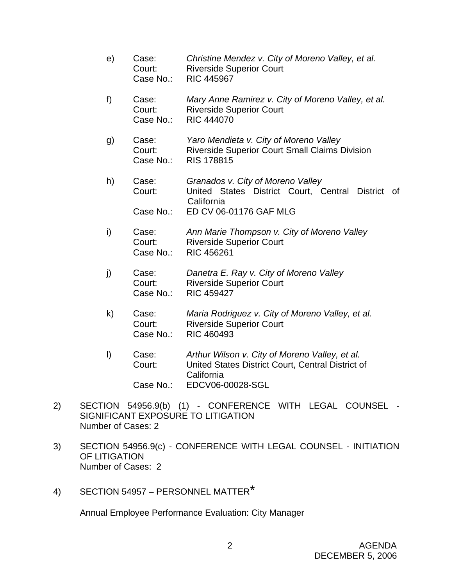- e) Case: *Christine Mendez v. City of Moreno Valley, et al.*  Court: Riverside Superior Court Case No.: RIC 445967
- f) Case: *Mary Anne Ramirez v. City of Moreno Valley, et al.*  Court: Riverside Superior Court Case No.: RIC 444070
- g) Case: *Yaro Mendieta v. City of Moreno Valley* Court: Riverside Superior Court Small Claims Division Case No.: RIS 178815
- h) Case: *Granados v. City of Moreno Valley* Court: United States District Court, Central District of California Case No.: ED CV 06-01176 GAF MLG
- i) Case: *Ann Marie Thompson v. City of Moreno Valley* Court: Riverside Superior Court Case No.: RIC 456261
- j) Case: *Danetra E. Ray v. City of Moreno Valley* Court: Riverside Superior Court Case No.: RIC 459427
- k) Case: *Maria Rodriguez v. City of Moreno Valley, et al.* Court: Riverside Superior Court Case No.: RIC 460493
- l) Case: *Arthur Wilson v. City of Moreno Valley, et al.* Court: United States District Court, Central District of California Case No.: EDCV06-00028-SGL
- 2) SECTION 54956.9(b) (1) CONFERENCE WITH LEGAL COUNSEL SIGNIFICANT EXPOSURE TO LITIGATION Number of Cases: 2
- 3) SECTION 54956.9(c) CONFERENCE WITH LEGAL COUNSEL INITIATION OF LITIGATION Number of Cases: 2
- 4) SECTION 54957 PERSONNEL MATTER\*

Annual Employee Performance Evaluation: City Manager